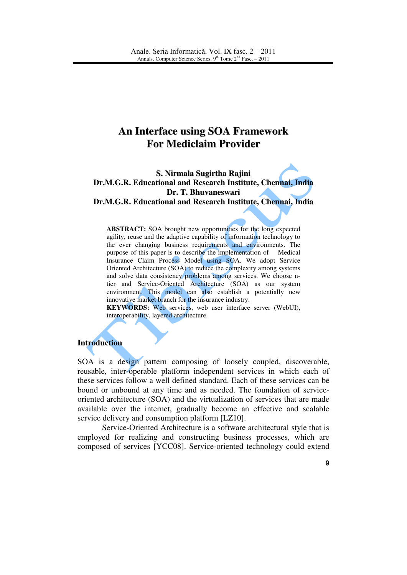# **An Interface using SOA Framework For Mediclaim Provider**

# **S. Nirmala Sugirtha Rajini Dr.M.G.R. Educational and Research Institute, Chennai, India Dr. T. Bhuvaneswari Dr.M.G.R. Educational and Research Institute, Chennai, India**

**ABSTRACT:** SOA brought new opportunities for the long expected agility, reuse and the adaptive capability of information technology to the ever changing business requirements and environments. The purpose of this paper is to describe the implementation of Medical Insurance Claim Process Model using SOA. We adopt Service Oriented Architecture (SOA) to reduce the complexity among systems and solve data consistency problems among services. We choose ntier and Service-Oriented Architecture (SOA) as our system environment. This model can also establish a potentially new innovative market branch for the insurance industry.

**KEYWORDS:** Web services, web user interface server (WebUI), interoperability, layered architecture.

#### **Introduction**

SOA is a design pattern composing of loosely coupled, discoverable, reusable, inter-operable platform independent services in which each of these services follow a well defined standard. Each of these services can be bound or unbound at any time and as needed. The foundation of serviceoriented architecture (SOA) and the virtualization of services that are made available over the internet, gradually become an effective and scalable service delivery and consumption platform [LZ10].

Service-Oriented Architecture is a software architectural style that is employed for realizing and constructing business processes, which are composed of services [YCC08]. Service-oriented technology could extend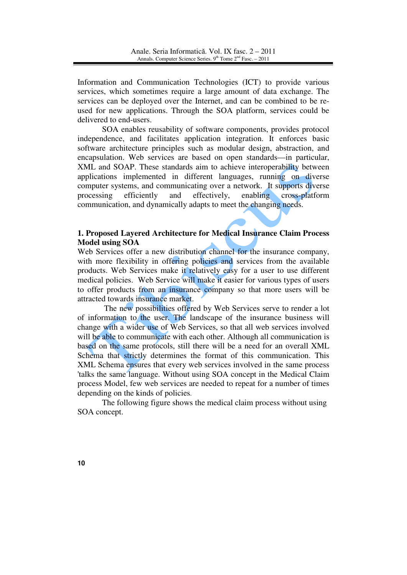Information and Communication Technologies (ICT) to provide various services, which sometimes require a large amount of data exchange. The services can be deployed over the Internet, and can be combined to be reused for new applications. Through the SOA platform, services could be delivered to end-users.

SOA enables reusability of software components, provides protocol independence, and facilitates application integration. It enforces basic software architecture principles such as modular design, abstraction, and encapsulation. Web services are based on open standards—in particular, XML and SOAP. These standards aim to achieve interoperability between applications implemented in different languages, running on diverse computer systems, and communicating over a network. It supports diverse processing efficiently and effectively, enabling cross-platform communication, and dynamically adapts to meet the changing needs.

# **1. Proposed Layered Architecture for Medical Insurance Claim Process Model using SOA**

Web Services offer a new distribution channel for the insurance company, with more flexibility in offering policies and services from the available products. Web Services make it relatively easy for a user to use different medical policies. Web Service will make it easier for various types of users to offer products from an insurance company so that more users will be attracted towards insurance market.

 The new possibilities offered by Web Services serve to render a lot of information to the user. The landscape of the insurance business will change with a wider use of Web Services, so that all web services involved will be able to communicate with each other. Although all communication is based on the same protocols, still there will be a need for an overall XML Schema that strictly determines the format of this communication. This XML Schema ensures that every web services involved in the same process 'talks the same language. Without using SOA concept in the Medical Claim process Model, few web services are needed to repeat for a number of times depending on the kinds of policies.

The following figure shows the medical claim process without using SOA concept.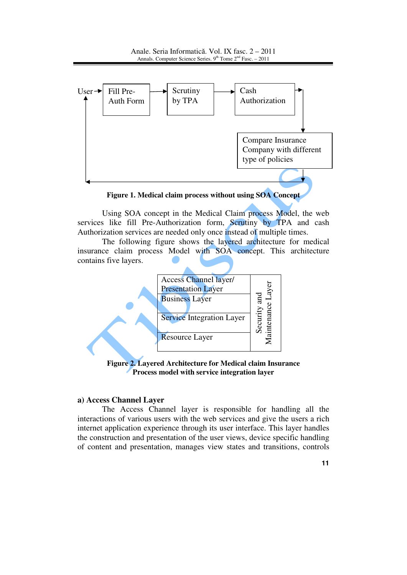Anale. Seria Informatică. Vol. IX fasc. 2 – 2011 Annals. Computer Science Series.  $9<sup>th</sup>$  Tome  $2<sup>nd</sup>$  Fasc. – 2011



**Figure 1. Medical claim process without using SOA Concept**

Using SOA concept in the Medical Claim process Model, the web services like fill Pre-Authorization form, Scrutiny by TPA and cash Authorization services are needed only once instead of multiple times.

 The following figure shows the layered architecture for medical insurance claim process Model with SOA concept. This architecture contains five layers.



**Figure 2. Layered Architecture for Medical claim Insurance Process model with service integration layer** 

#### **a) Access Channel Layer**

The Access Channel layer is responsible for handling all the interactions of various users with the web services and give the users a rich internet application experience through its user interface. This layer handles the construction and presentation of the user views, device specific handling of content and presentation, manages view states and transitions, controls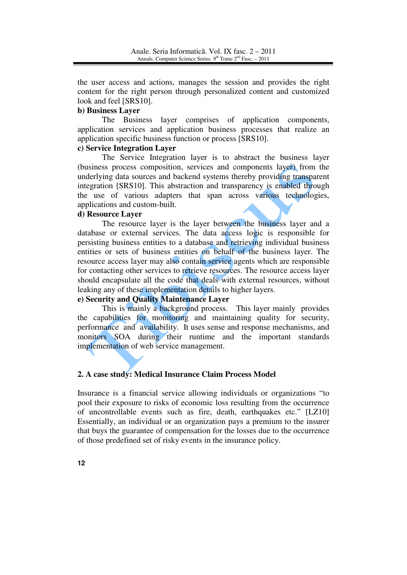the user access and actions, manages the session and provides the right content for the right person through personalized content and customized look and feel [SRS10].

# **b) Business Layer**

The Business layer comprises of application components, application services and application business processes that realize an application specific business function or process [SRS10].

## **c) Service Integration Layer**

The Service Integration layer is to abstract the business layer (business process composition, services and components layer) from the underlying data sources and backend systems thereby providing transparent integration [SRS10]. This abstraction and transparency is enabled through the use of various adapters that span across various technologies, applications and custom-built.

## **d) Resource Layer**

The resource layer is the layer between the business layer and a database or external services. The data access logic is responsible for persisting business entities to a database and retrieving individual business entities or sets of business entities on behalf of the business layer. The resource access layer may also contain service agents which are responsible for contacting other services to retrieve resources. The resource access layer should encapsulate all the code that deals with external resources, without leaking any of these implementation details to higher layers.

# **e) Security and Quality Maintenance Layer**

This is mainly a background process. This layer mainly provides the capabilities for monitoring and maintaining quality for security, performance and availability. It uses sense and response mechanisms, and monitors SOA during their runtime and the important standards implementation of web service management.

## **2. A case study: Medical Insurance Claim Process Model**

Insurance is a financial service allowing individuals or organizations "to pool their exposure to risks of economic loss resulting from the occurrence of uncontrollable events such as fire, death, earthquakes etc." [LZ10] Essentially, an individual or an organization pays a premium to the insurer that buys the guarantee of compensation for the losses due to the occurrence of those predefined set of risky events in the insurance policy.

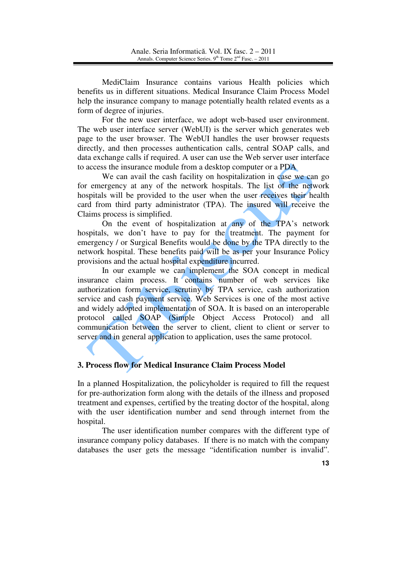MediClaim Insurance contains various Health policies which benefits us in different situations. Medical Insurance Claim Process Model help the insurance company to manage potentially health related events as a form of degree of injuries.

For the new user interface, we adopt web-based user environment. The web user interface server (WebUI) is the server which generates web page to the user browser. The WebUI handles the user browser requests directly, and then processes authentication calls, central SOAP calls, and data exchange calls if required. A user can use the Web server user interface to access the insurance module from a desktop computer or a PDA

We can avail the cash facility on hospitalization in case we can go for emergency at any of the network hospitals. The list of the network hospitals will be provided to the user when the user receives their health card from third party administrator (TPA). The insured will receive the Claims process is simplified.

On the event of hospitalization at any of the TPA's network hospitals, we don't have to pay for the treatment. The payment for emergency / or Surgical Benefits would be done by the TPA directly to the network hospital. These benefits paid will be as per your Insurance Policy provisions and the actual hospital expenditure incurred.

In our example we can implement the SOA concept in medical insurance claim process. It contains number of web services like authorization form service, scrutiny by TPA service, cash authorization service and cash payment service. Web Services is one of the most active and widely adopted implementation of SOA. It is based on an interoperable protocol called SOAP (Simple Object Access Protocol) and all communication between the server to client, client to client or server to server and in general application to application, uses the same protocol.

# **3. Process flow for Medical Insurance Claim Process Model**

In a planned Hospitalization, the policyholder is required to fill the request for pre-authorization form along with the details of the illness and proposed treatment and expenses, certified by the treating doctor of the hospital, along with the user identification number and send through internet from the hospital.

The user identification number compares with the different type of insurance company policy databases. If there is no match with the company databases the user gets the message "identification number is invalid".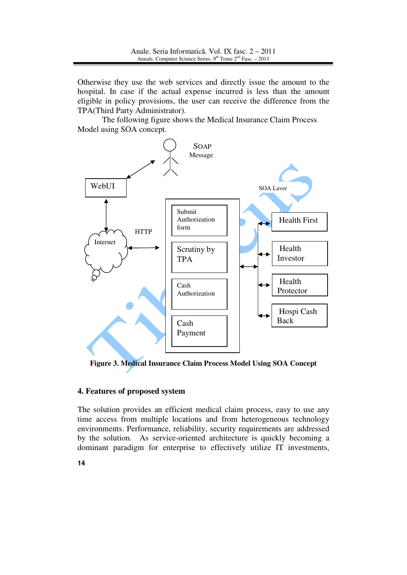Otherwise they use the web services and directly issue the amount to the hospital. In case if the actual expense incurred is less than the amount eligible in policy provisions, the user can receive the difference from the TPA(Third Party Administrator).

The following figure shows the Medical Insurance Claim Process Model using SOA concept.



**Figure 3. Medical Insurance Claim Process Model Using SOA Concept**

## **4. Features of proposed system**

The solution provides an efficient medical claim process, easy to use any time access from multiple locations and from heterogeneous technology environments. Performance, reliability, security requirements are addressed by the solution. As service-oriented architecture is quickly becoming a dominant paradigm for enterprise to effectively utilize IT investments,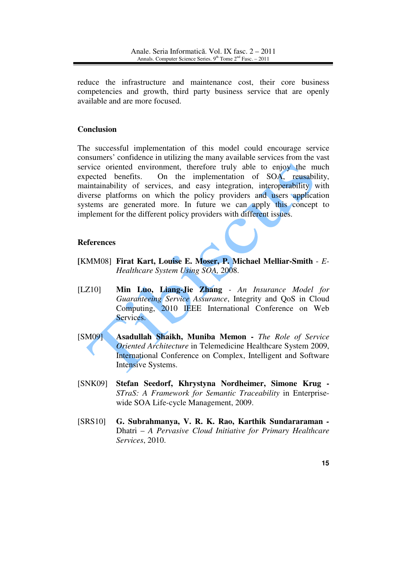reduce the infrastructure and maintenance cost, their core business competencies and growth, third party business service that are openly available and are more focused.

## **Conclusion**

The successful implementation of this model could encourage service consumers' confidence in utilizing the many available services from the vast service oriented environment, therefore truly able to enjoy the much expected benefits. On the implementation of SOA, reusability, maintainability of services, and easy integration, interoperability with diverse platforms on which the policy providers and users application systems are generated more. In future we can apply this concept to implement for the different policy providers with different issues.

## **References**

- **[**KMM08] **Firat Kart, Louise E. Moser, P. Michael Melliar-Smith**  *E-Healthcare System Using SOA,* 2008.
- [LZ10] **Min Luo, Liang-Jie Zhang**  *An Insurance Model for Guaranteeing Service Assurance*, Integrity and QoS in Cloud Computing, 2010 IEEE International Conference on Web Services.
- [SM09] **Asadullah Shaikh, Muniba Memon** *The Role of Service Oriented Architecture* in Telemedicine Healthcare System 2009, International Conference on Complex, Intelligent and Software Intensive Systems.
- [SNK09] **Stefan Seedorf, Khrystyna Nordheimer, Simone Krug -** *STraS: A Framework for Semantic Traceability* in Enterprisewide SOA Life-cycle Management, 2009.
- [SRS10] **G. Subrahmanya, V. R. K. Rao, Karthik Sundararaman** *-* Dhatri – *A Pervasive Cloud Initiative for Primary Healthcare Services*, 2010.